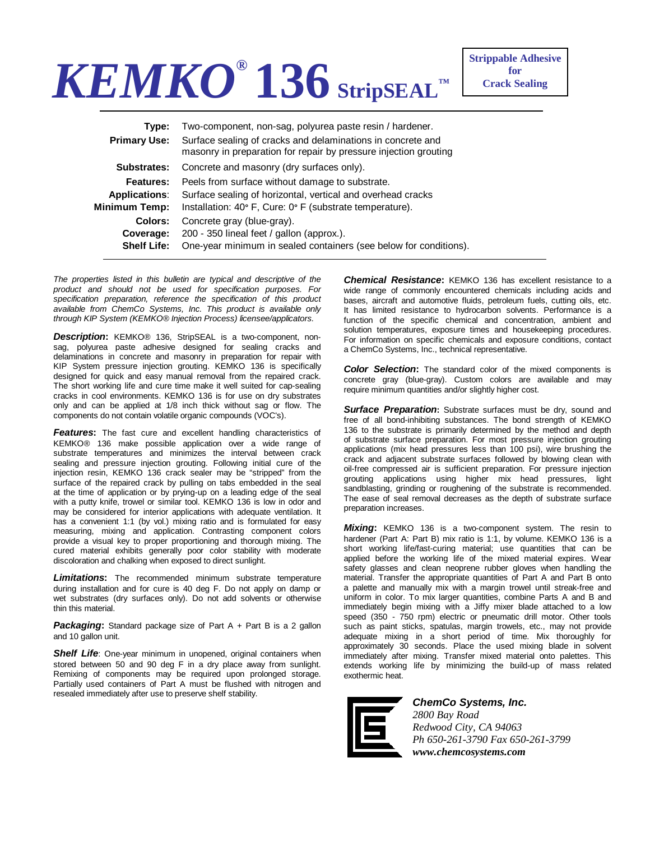## *KEMKO®* **136 StripSEAL™**

| One-year minimum in sealed containers (see below for conditions). |
|-------------------------------------------------------------------|
|                                                                   |

*The properties listed in this bulletin are typical and descriptive of the product and should not be used for specification purposes. For specification preparation, reference the specification of this product available from ChemCo Systems, Inc. This product is available only through KIP System (KEMKO® Injection Process) licensee/applicators.* 

*Description***:** KEMKO® 136, StripSEAL is a two-component, nonsag, polyurea paste adhesive designed for sealing cracks and delaminations in concrete and masonry in preparation for repair with KIP System pressure injection grouting. KEMKO 136 is specifically designed for quick and easy manual removal from the repaired crack. The short working life and cure time make it well suited for cap-sealing cracks in cool environments. KEMKO 136 is for use on dry substrates only and can be applied at 1/8 inch thick without sag or flow. The components do not contain volatile organic compounds (VOC's).

**Features:** The fast cure and excellent handling characteristics of KEMKO® 136 make possible application over a wide range of substrate temperatures and minimizes the interval between crack sealing and pressure injection grouting. Following initial cure of the injection resin, KEMKO 136 crack sealer may be "stripped" from the surface of the repaired crack by pulling on tabs embedded in the seal at the time of application or by prying-up on a leading edge of the seal with a putty knife, trowel or similar tool. KEMKO 136 is low in odor and may be considered for interior applications with adequate ventilation. It has a convenient 1:1 (by vol.) mixing ratio and is formulated for easy measuring, mixing and application. Contrasting component colors provide a visual key to proper proportioning and thorough mixing. The cured material exhibits generally poor color stability with moderate discoloration and chalking when exposed to direct sunlight.

*Limitations***:** The recommended minimum substrate temperature during installation and for cure is 40 deg F. Do not apply on damp or wet substrates (dry surfaces only). Do not add solvents or otherwise thin this material.

**Packaging:** Standard package size of Part A + Part B is a 2 gallon and 10 gallon unit.

**Shelf Life**: One-year minimum in unopened, original containers when stored between 50 and 90 deg F in a dry place away from sunlight. Remixing of components may be required upon prolonged storage. Partially used containers of Part A must be flushed with nitrogen and resealed immediately after use to preserve shelf stability.

*Chemical Resistance***:** KEMKO 136 has excellent resistance to a wide range of commonly encountered chemicals including acids and bases, aircraft and automotive fluids, petroleum fuels, cutting oils, etc. It has limited resistance to hydrocarbon solvents. Performance is a function of the specific chemical and concentration, ambient and solution temperatures, exposure times and housekeeping procedures. For information on specific chemicals and exposure conditions, contact a ChemCo Systems, Inc., technical representative.

**Color Selection:** The standard color of the mixed components is concrete gray (blue-gray). Custom colors are available and may require minimum quantities and/or slightly higher cost.

**Surface Preparation:** Substrate surfaces must be dry, sound and free of all bond-inhibiting substances. The bond strength of KEMKO 136 to the substrate is primarily determined by the method and depth of substrate surface preparation. For most pressure injection grouting applications (mix head pressures less than 100 psi), wire brushing the crack and adjacent substrate surfaces followed by blowing clean with oil-free compressed air is sufficient preparation. For pressure injection grouting applications using higher mix head pressures, light sandblasting, grinding or roughening of the substrate is recommended. The ease of seal removal decreases as the depth of substrate surface preparation increases.

*Mixing***:** KEMKO 136 is a two-component system. The resin to hardener (Part A: Part B) mix ratio is 1:1, by volume. KEMKO 136 is a short working life/fast-curing material; use quantities that can be applied before the working life of the mixed material expires. Wear safety glasses and clean neoprene rubber gloves when handling the material. Transfer the appropriate quantities of Part A and Part B onto a palette and manually mix with a margin trowel until streak-free and uniform in color. To mix larger quantities, combine Parts A and B and immediately begin mixing with a Jiffy mixer blade attached to a low speed (350 - 750 rpm) electric or pneumatic drill motor. Other tools such as paint sticks, spatulas, margin trowels, etc., may not provide adequate mixing in a short period of time. Mix thoroughly for approximately 30 seconds. Place the used mixing blade in solvent immediately after mixing. Transfer mixed material onto palettes. This extends working life by minimizing the build-up of mass related exothermic heat.



*ChemCo Systems, Inc. 2800 Bay Road Redwood City, CA 94063 Ph 650-261-3790 Fax 650-261-3799 www.chemcosystems.com*